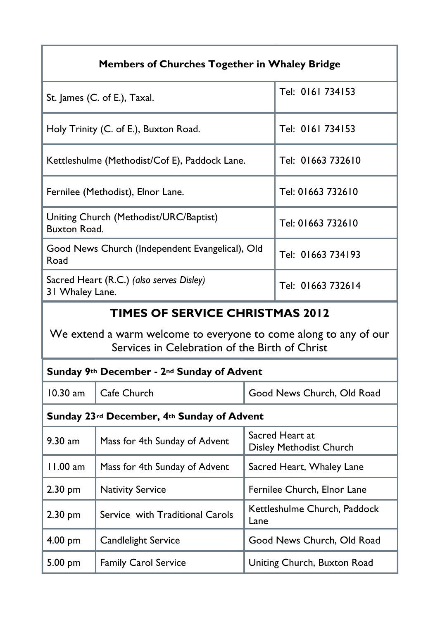| Members of Churches Together in Whaley Bridge                                                                                                                |                                            |                                            |                            |  |  |
|--------------------------------------------------------------------------------------------------------------------------------------------------------------|--------------------------------------------|--------------------------------------------|----------------------------|--|--|
| St. James (C. of E.), Taxal.                                                                                                                                 |                                            |                                            | Tel: 0161 734153           |  |  |
| Holy Trinity (C. of E.), Buxton Road.                                                                                                                        |                                            |                                            | Tel: 0161 734153           |  |  |
| Kettleshulme (Methodist/Cof E), Paddock Lane.                                                                                                                |                                            |                                            | Tel: 01663 732610          |  |  |
| Fernilee (Methodist), Elnor Lane.                                                                                                                            |                                            |                                            | Tel: 01663 732610          |  |  |
| Uniting Church (Methodist/URC/Baptist)<br><b>Buxton Road.</b>                                                                                                |                                            |                                            | Tel: 01663 732610          |  |  |
| Good News Church (Independent Evangelical), Old<br>Road                                                                                                      |                                            |                                            | Tel: 01663 734193          |  |  |
| Sacred Heart (R.C.) (also serves Disley)<br>31 Whaley Lane.                                                                                                  |                                            |                                            | Tel: 01663 732614          |  |  |
| <b>TIMES OF SERVICE CHRISTMAS 2012</b><br>We extend a warm welcome to everyone to come along to any of our<br>Services in Celebration of the Birth of Christ |                                            |                                            |                            |  |  |
|                                                                                                                                                              | Sunday 9th December - 2nd Sunday of Advent |                                            |                            |  |  |
| $10.30$ am                                                                                                                                                   | Cafe Church                                |                                            | Good News Church, Old Road |  |  |
| Sunday 23rd December, 4th Sunday of Advent                                                                                                                   |                                            |                                            |                            |  |  |
| 9.30 am                                                                                                                                                      | Mass for 4th Sunday of Advent              | Sacred Heart at<br>Disley Methodist Church |                            |  |  |
| 11.00 am                                                                                                                                                     | Mass for 4th Sunday of Advent              | Sacred Heart, Whaley Lane                  |                            |  |  |
| 2.30 pm                                                                                                                                                      | <b>Nativity Service</b>                    | Fernilee Church, Elnor Lane                |                            |  |  |
| $2.30$ pm                                                                                                                                                    | Service with Traditional Carols            | Kettleshulme Church, Paddock<br>Lane       |                            |  |  |
| $4.00$ pm                                                                                                                                                    | Candlelight Service                        | Good News Church, Old Road                 |                            |  |  |
| 5.00 pm                                                                                                                                                      | Family Carol Service                       | Uniting Church, Buxton Road                |                            |  |  |